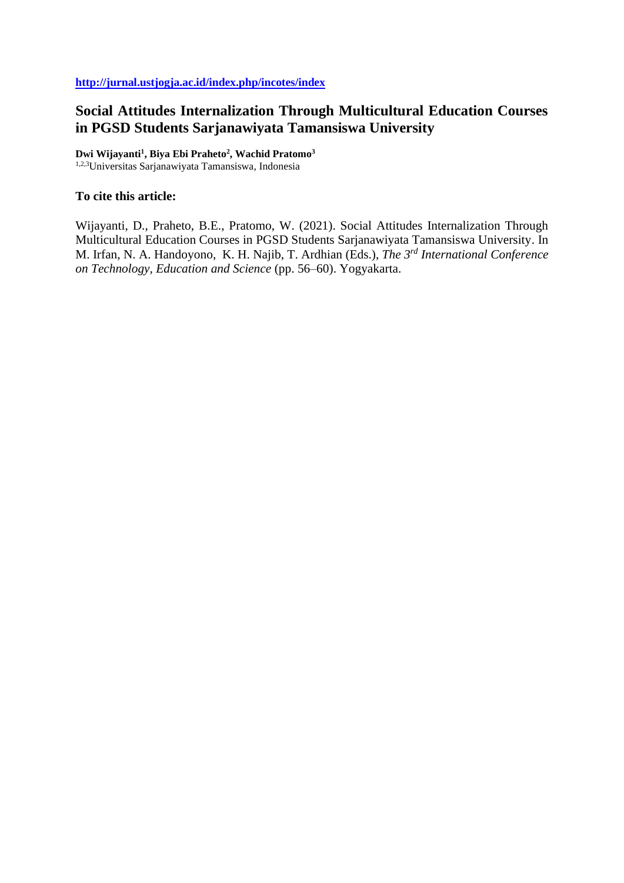# **Social Attitudes Internalization Through Multicultural Education Courses in PGSD Students Sarjanawiyata Tamansiswa University**

**Dwi Wijayanti<sup>1</sup> , Biya Ebi Praheto<sup>2</sup> , Wachid Pratomo<sup>3</sup>**

1,2,3Universitas Sarjanawiyata Tamansiswa, Indonesia

## **To cite this article:**

Wijayanti, D., Praheto, B.E., Pratomo, W. (2021). Social Attitudes Internalization Through Multicultural Education Courses in PGSD Students Sarjanawiyata Tamansiswa University. In M. Irfan, N. A. Handoyono, K. H. Najib, T. Ardhian (Eds.), *The 3rd International Conference on Technology, Education and Science* (pp. 56–60). Yogyakarta.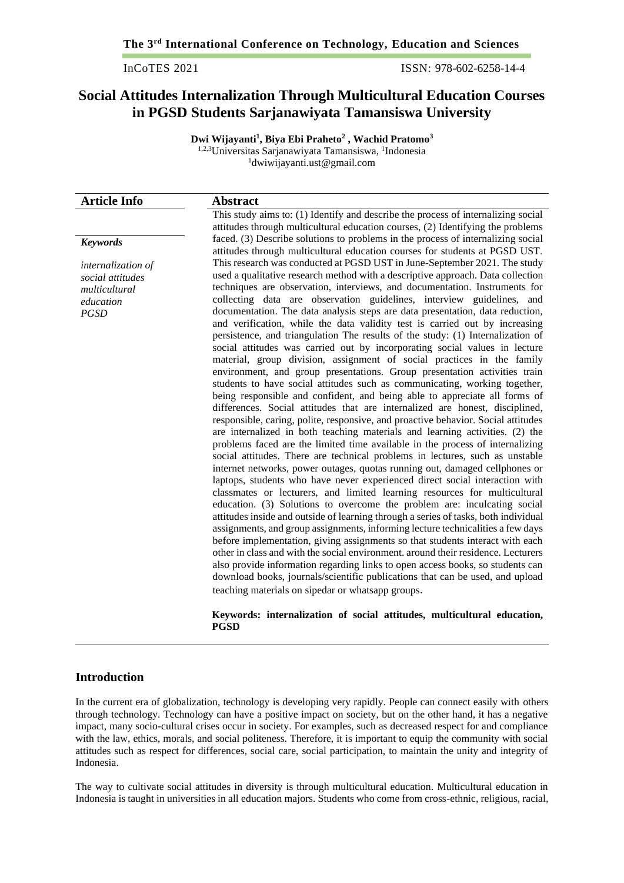InCoTES 2021 ISSN: 978-602-6258-14-4

## **Social Attitudes Internalization Through Multicultural Education Courses in PGSD Students Sarjanawiyata Tamansiswa University**

**Dwi Wijayanti<sup>1</sup> , Biya Ebi Praheto<sup>2</sup> , Wachid Pratomo<sup>3</sup>** <sup>1,2,3</sup>Universitas Sarjanawiyata Tamansiswa, <sup>1</sup>Indonesia <sup>1</sup>dwiwijayanti.ust@gmail.com

| <b>Article Info</b>                                                                 | <b>Abstract</b>                                                                                                                                                                                                                                                                                                                                                                                                                                                                                                                                                                                                                                                                                                                                                                                                                                                                                                                                                                                                                                                                                                                                                                                                                                                                                                                                                                                                                                                                                                                                                                                                                                                                                                                                                                                                                                                                                                                                                                                                                                                                                                                                                                                                                                                                              |
|-------------------------------------------------------------------------------------|----------------------------------------------------------------------------------------------------------------------------------------------------------------------------------------------------------------------------------------------------------------------------------------------------------------------------------------------------------------------------------------------------------------------------------------------------------------------------------------------------------------------------------------------------------------------------------------------------------------------------------------------------------------------------------------------------------------------------------------------------------------------------------------------------------------------------------------------------------------------------------------------------------------------------------------------------------------------------------------------------------------------------------------------------------------------------------------------------------------------------------------------------------------------------------------------------------------------------------------------------------------------------------------------------------------------------------------------------------------------------------------------------------------------------------------------------------------------------------------------------------------------------------------------------------------------------------------------------------------------------------------------------------------------------------------------------------------------------------------------------------------------------------------------------------------------------------------------------------------------------------------------------------------------------------------------------------------------------------------------------------------------------------------------------------------------------------------------------------------------------------------------------------------------------------------------------------------------------------------------------------------------------------------------|
|                                                                                     | This study aims to: (1) Identify and describe the process of internalizing social<br>attitudes through multicultural education courses, (2) Identifying the problems                                                                                                                                                                                                                                                                                                                                                                                                                                                                                                                                                                                                                                                                                                                                                                                                                                                                                                                                                                                                                                                                                                                                                                                                                                                                                                                                                                                                                                                                                                                                                                                                                                                                                                                                                                                                                                                                                                                                                                                                                                                                                                                         |
| <b>Keywords</b>                                                                     | faced. (3) Describe solutions to problems in the process of internalizing social<br>attitudes through multicultural education courses for students at PGSD UST.                                                                                                                                                                                                                                                                                                                                                                                                                                                                                                                                                                                                                                                                                                                                                                                                                                                                                                                                                                                                                                                                                                                                                                                                                                                                                                                                                                                                                                                                                                                                                                                                                                                                                                                                                                                                                                                                                                                                                                                                                                                                                                                              |
| internalization of<br>social attitudes<br>multicultural<br>education<br><b>PGSD</b> | This research was conducted at PGSD UST in June-September 2021. The study<br>used a qualitative research method with a descriptive approach. Data collection<br>techniques are observation, interviews, and documentation. Instruments for<br>collecting data are observation guidelines, interview guidelines, and<br>documentation. The data analysis steps are data presentation, data reduction,<br>and verification, while the data validity test is carried out by increasing<br>persistence, and triangulation The results of the study: (1) Internalization of<br>social attitudes was carried out by incorporating social values in lecture<br>material, group division, assignment of social practices in the family<br>environment, and group presentations. Group presentation activities train<br>students to have social attitudes such as communicating, working together,<br>being responsible and confident, and being able to appreciate all forms of<br>differences. Social attitudes that are internalized are honest, disciplined,<br>responsible, caring, polite, responsive, and proactive behavior. Social attitudes<br>are internalized in both teaching materials and learning activities. (2) the<br>problems faced are the limited time available in the process of internalizing<br>social attitudes. There are technical problems in lectures, such as unstable<br>internet networks, power outages, quotas running out, damaged cellphones or<br>laptops, students who have never experienced direct social interaction with<br>classmates or lecturers, and limited learning resources for multicultural<br>education. (3) Solutions to overcome the problem are: inculcating social<br>attitudes inside and outside of learning through a series of tasks, both individual<br>assignments, and group assignments, informing lecture technicalities a few days<br>before implementation, giving assignments so that students interact with each<br>other in class and with the social environment, around their residence. Lecturers<br>also provide information regarding links to open access books, so students can<br>download books, journals/scientific publications that can be used, and upload<br>teaching materials on sipedar or whatsapp groups. |
|                                                                                     | Keywords: internalization of social attitudes, multicultural education,                                                                                                                                                                                                                                                                                                                                                                                                                                                                                                                                                                                                                                                                                                                                                                                                                                                                                                                                                                                                                                                                                                                                                                                                                                                                                                                                                                                                                                                                                                                                                                                                                                                                                                                                                                                                                                                                                                                                                                                                                                                                                                                                                                                                                      |

#### **Keywords: internalization of social attitudes, multicultural education, PGSD**

## **Introduction**

In the current era of globalization, technology is developing very rapidly. People can connect easily with others through technology. Technology can have a positive impact on society, but on the other hand, it has a negative impact, many socio-cultural crises occur in society. For examples, such as decreased respect for and compliance with the law, ethics, morals, and social politeness. Therefore, it is important to equip the community with social attitudes such as respect for differences, social care, social participation, to maintain the unity and integrity of Indonesia.

The way to cultivate social attitudes in diversity is through multicultural education. Multicultural education in Indonesia is taught in universities in all education majors. Students who come from cross-ethnic, religious, racial,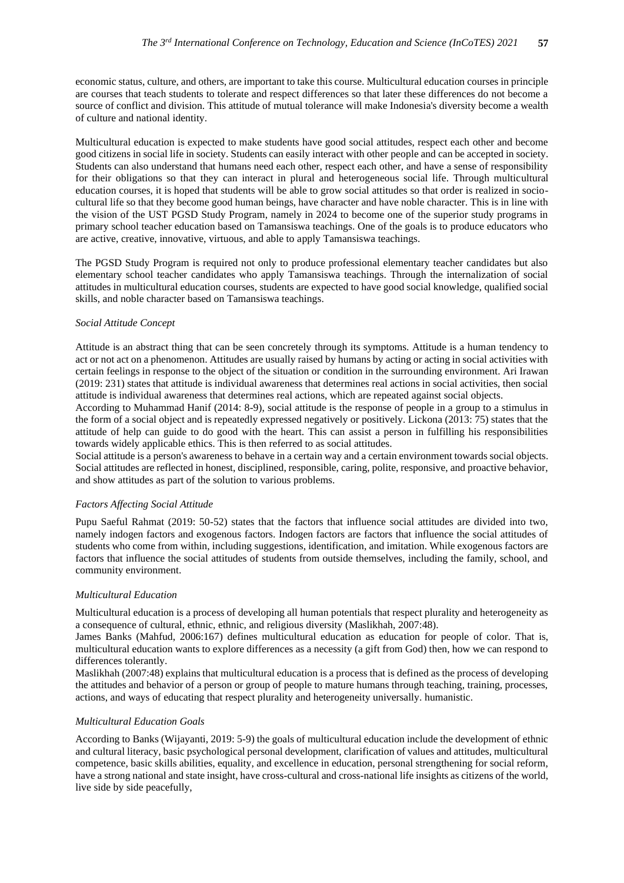economic status, culture, and others, are important to take this course. Multicultural education courses in principle are courses that teach students to tolerate and respect differences so that later these differences do not become a source of conflict and division. This attitude of mutual tolerance will make Indonesia's diversity become a wealth of culture and national identity.

Multicultural education is expected to make students have good social attitudes, respect each other and become good citizens in social life in society. Students can easily interact with other people and can be accepted in society. Students can also understand that humans need each other, respect each other, and have a sense of responsibility for their obligations so that they can interact in plural and heterogeneous social life. Through multicultural education courses, it is hoped that students will be able to grow social attitudes so that order is realized in sociocultural life so that they become good human beings, have character and have noble character. This is in line with the vision of the UST PGSD Study Program, namely in 2024 to become one of the superior study programs in primary school teacher education based on Tamansiswa teachings. One of the goals is to produce educators who are active, creative, innovative, virtuous, and able to apply Tamansiswa teachings.

The PGSD Study Program is required not only to produce professional elementary teacher candidates but also elementary school teacher candidates who apply Tamansiswa teachings. Through the internalization of social attitudes in multicultural education courses, students are expected to have good social knowledge, qualified social skills, and noble character based on Tamansiswa teachings.

#### *Social Attitude Concept*

Attitude is an abstract thing that can be seen concretely through its symptoms. Attitude is a human tendency to act or not act on a phenomenon. Attitudes are usually raised by humans by acting or acting in social activities with certain feelings in response to the object of the situation or condition in the surrounding environment. Ari Irawan (2019: 231) states that attitude is individual awareness that determines real actions in social activities, then social attitude is individual awareness that determines real actions, which are repeated against social objects.

According to Muhammad Hanif (2014: 8-9), social attitude is the response of people in a group to a stimulus in the form of a social object and is repeatedly expressed negatively or positively. Lickona (2013: 75) states that the attitude of help can guide to do good with the heart. This can assist a person in fulfilling his responsibilities towards widely applicable ethics. This is then referred to as social attitudes.

Social attitude is a person's awareness to behave in a certain way and a certain environment towards social objects. Social attitudes are reflected in honest, disciplined, responsible, caring, polite, responsive, and proactive behavior, and show attitudes as part of the solution to various problems.

#### *Factors Affecting Social Attitude*

Pupu Saeful Rahmat (2019: 50-52) states that the factors that influence social attitudes are divided into two, namely indogen factors and exogenous factors. Indogen factors are factors that influence the social attitudes of students who come from within, including suggestions, identification, and imitation. While exogenous factors are factors that influence the social attitudes of students from outside themselves, including the family, school, and community environment.

#### *Multicultural Education*

Multicultural education is a process of developing all human potentials that respect plurality and heterogeneity as a consequence of cultural, ethnic, ethnic, and religious diversity (Maslikhah, 2007:48).

James Banks (Mahfud, 2006:167) defines multicultural education as education for people of color. That is, multicultural education wants to explore differences as a necessity (a gift from God) then, how we can respond to differences tolerantly.

Maslikhah (2007:48) explains that multicultural education is a process that is defined as the process of developing the attitudes and behavior of a person or group of people to mature humans through teaching, training, processes, actions, and ways of educating that respect plurality and heterogeneity universally. humanistic.

#### *Multicultural Education Goals*

According to Banks (Wijayanti, 2019: 5-9) the goals of multicultural education include the development of ethnic and cultural literacy, basic psychological personal development, clarification of values and attitudes, multicultural competence, basic skills abilities, equality, and excellence in education, personal strengthening for social reform, have a strong national and state insight, have cross-cultural and cross-national life insights as citizens of the world, live side by side peacefully,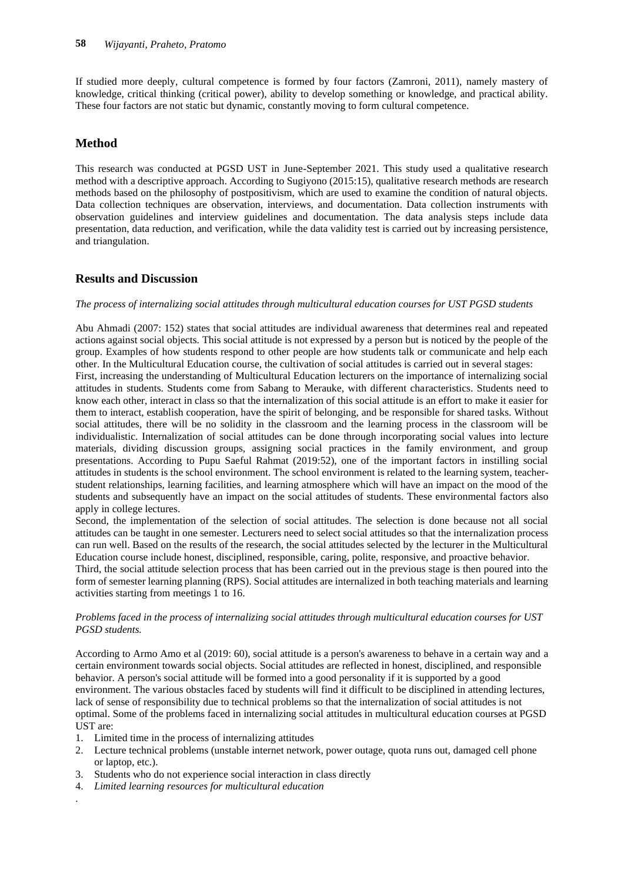If studied more deeply, cultural competence is formed by four factors (Zamroni, 2011), namely mastery of knowledge, critical thinking (critical power), ability to develop something or knowledge, and practical ability. These four factors are not static but dynamic, constantly moving to form cultural competence.

## **Method**

This research was conducted at PGSD UST in June-September 2021. This study used a qualitative research method with a descriptive approach. According to Sugiyono (2015:15), qualitative research methods are research methods based on the philosophy of postpositivism, which are used to examine the condition of natural objects. Data collection techniques are observation, interviews, and documentation. Data collection instruments with observation guidelines and interview guidelines and documentation. The data analysis steps include data presentation, data reduction, and verification, while the data validity test is carried out by increasing persistence, and triangulation.

## **Results and Discussion**

#### *The process of internalizing social attitudes through multicultural education courses for UST PGSD students*

Abu Ahmadi (2007: 152) states that social attitudes are individual awareness that determines real and repeated actions against social objects. This social attitude is not expressed by a person but is noticed by the people of the group. Examples of how students respond to other people are how students talk or communicate and help each other. In the Multicultural Education course, the cultivation of social attitudes is carried out in several stages: First, increasing the understanding of Multicultural Education lecturers on the importance of internalizing social attitudes in students. Students come from Sabang to Merauke, with different characteristics. Students need to know each other, interact in class so that the internalization of this social attitude is an effort to make it easier for them to interact, establish cooperation, have the spirit of belonging, and be responsible for shared tasks. Without social attitudes, there will be no solidity in the classroom and the learning process in the classroom will be individualistic. Internalization of social attitudes can be done through incorporating social values into lecture materials, dividing discussion groups, assigning social practices in the family environment, and group presentations. According to Pupu Saeful Rahmat (2019:52), one of the important factors in instilling social attitudes in students is the school environment. The school environment is related to the learning system, teacherstudent relationships, learning facilities, and learning atmosphere which will have an impact on the mood of the students and subsequently have an impact on the social attitudes of students. These environmental factors also apply in college lectures.

Second, the implementation of the selection of social attitudes. The selection is done because not all social attitudes can be taught in one semester. Lecturers need to select social attitudes so that the internalization process can run well. Based on the results of the research, the social attitudes selected by the lecturer in the Multicultural Education course include honest, disciplined, responsible, caring, polite, responsive, and proactive behavior.

Third, the social attitude selection process that has been carried out in the previous stage is then poured into the form of semester learning planning (RPS). Social attitudes are internalized in both teaching materials and learning activities starting from meetings 1 to 16.

#### *Problems faced in the process of internalizing social attitudes through multicultural education courses for UST PGSD students.*

According to Armo Amo et al (2019: 60), social attitude is a person's awareness to behave in a certain way and a certain environment towards social objects. Social attitudes are reflected in honest, disciplined, and responsible behavior. A person's social attitude will be formed into a good personality if it is supported by a good environment. The various obstacles faced by students will find it difficult to be disciplined in attending lectures, lack of sense of responsibility due to technical problems so that the internalization of social attitudes is not optimal. Some of the problems faced in internalizing social attitudes in multicultural education courses at PGSD UST are:

- 1. Limited time in the process of internalizing attitudes
- 2. Lecture technical problems (unstable internet network, power outage, quota runs out, damaged cell phone or laptop, etc.).
- 3. Students who do not experience social interaction in class directly
- 4. *Limited learning resources for multicultural education*

.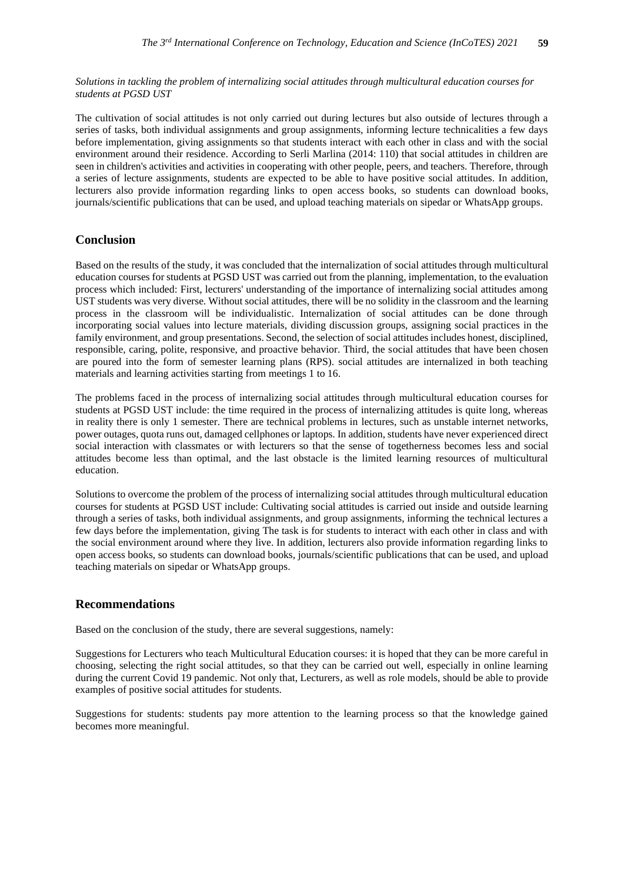*Solutions in tackling the problem of internalizing social attitudes through multicultural education courses for students at PGSD UST*

The cultivation of social attitudes is not only carried out during lectures but also outside of lectures through a series of tasks, both individual assignments and group assignments, informing lecture technicalities a few days before implementation, giving assignments so that students interact with each other in class and with the social environment around their residence. According to Serli Marlina (2014: 110) that social attitudes in children are seen in children's activities and activities in cooperating with other people, peers, and teachers. Therefore, through a series of lecture assignments, students are expected to be able to have positive social attitudes. In addition, lecturers also provide information regarding links to open access books, so students can download books, journals/scientific publications that can be used, and upload teaching materials on sipedar or WhatsApp groups.

## **Conclusion**

Based on the results of the study, it was concluded that the internalization of social attitudes through multicultural education courses for students at PGSD UST was carried out from the planning, implementation, to the evaluation process which included: First, lecturers' understanding of the importance of internalizing social attitudes among UST students was very diverse. Without social attitudes, there will be no solidity in the classroom and the learning process in the classroom will be individualistic. Internalization of social attitudes can be done through incorporating social values into lecture materials, dividing discussion groups, assigning social practices in the family environment, and group presentations. Second, the selection of social attitudes includes honest, disciplined, responsible, caring, polite, responsive, and proactive behavior. Third, the social attitudes that have been chosen are poured into the form of semester learning plans (RPS). social attitudes are internalized in both teaching materials and learning activities starting from meetings 1 to 16.

The problems faced in the process of internalizing social attitudes through multicultural education courses for students at PGSD UST include: the time required in the process of internalizing attitudes is quite long, whereas in reality there is only 1 semester. There are technical problems in lectures, such as unstable internet networks, power outages, quota runs out, damaged cellphones or laptops. In addition, students have never experienced direct social interaction with classmates or with lecturers so that the sense of togetherness becomes less and social attitudes become less than optimal, and the last obstacle is the limited learning resources of multicultural education.

Solutions to overcome the problem of the process of internalizing social attitudes through multicultural education courses for students at PGSD UST include: Cultivating social attitudes is carried out inside and outside learning through a series of tasks, both individual assignments, and group assignments, informing the technical lectures a few days before the implementation, giving The task is for students to interact with each other in class and with the social environment around where they live. In addition, lecturers also provide information regarding links to open access books, so students can download books, journals/scientific publications that can be used, and upload teaching materials on sipedar or WhatsApp groups.

## **Recommendations**

Based on the conclusion of the study, there are several suggestions, namely:

Suggestions for Lecturers who teach Multicultural Education courses: it is hoped that they can be more careful in choosing, selecting the right social attitudes, so that they can be carried out well, especially in online learning during the current Covid 19 pandemic. Not only that, Lecturers, as well as role models, should be able to provide examples of positive social attitudes for students.

Suggestions for students: students pay more attention to the learning process so that the knowledge gained becomes more meaningful.